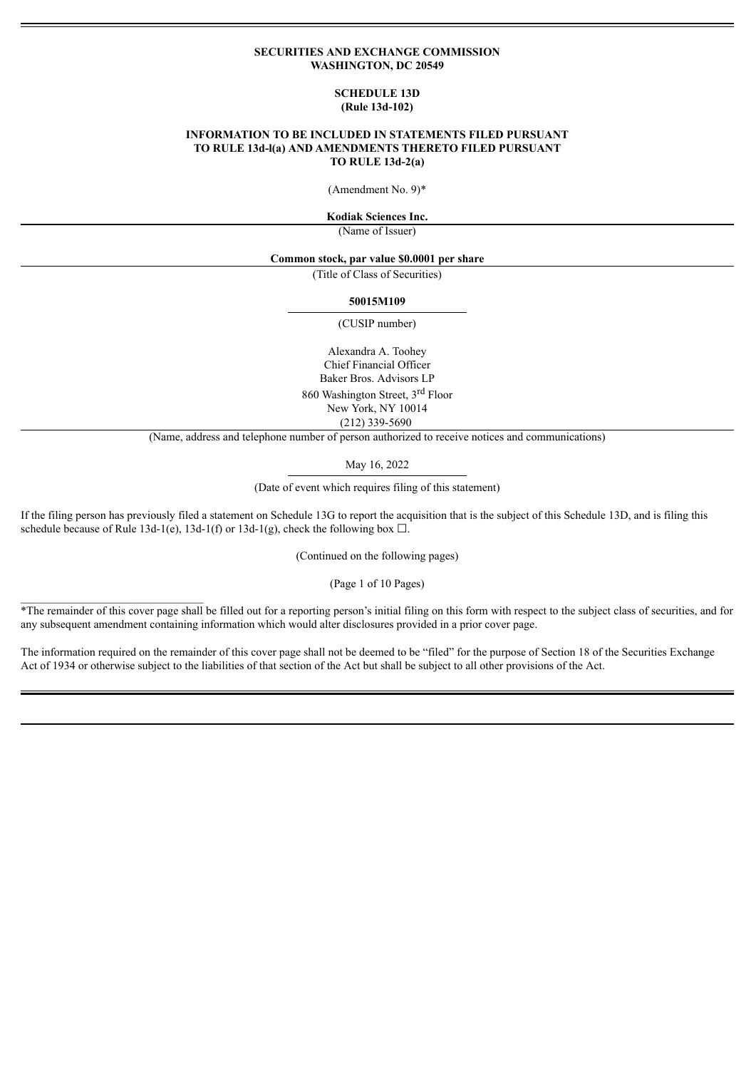#### **SECURITIES AND EXCHANGE COMMISSION WASHINGTON, DC 20549**

#### **SCHEDULE 13D (Rule 13d-102)**

### **INFORMATION TO BE INCLUDED IN STATEMENTS FILED PURSUANT TO RULE 13d-l(a) AND AMENDMENTS THERETO FILED PURSUANT TO RULE 13d-2(a)**

(Amendment No. 9)\*

**Kodiak Sciences Inc.**

(Name of Issuer)

**Common stock, par value \$0.0001 per share**

(Title of Class of Securities)

#### **50015M109**

(CUSIP number)

Alexandra A. Toohey Chief Financial Officer Baker Bros. Advisors LP 860 Washington Street, 3<sup>rd</sup> Floor New York, NY 10014 (212) 339-5690

(Name, address and telephone number of person authorized to receive notices and communications)

May 16, 2022

(Date of event which requires filing of this statement)

If the filing person has previously filed a statement on Schedule 13G to report the acquisition that is the subject of this Schedule 13D, and is filing this schedule because of Rule 13d-1(e), 13d-1(f) or 13d-1(g), check the following box  $\Box$ .

 $\mathcal{L}_\text{max}$ 

(Continued on the following pages)

(Page 1 of 10 Pages)

\*The remainder of this cover page shall be filled out for a reporting person's initial filing on this form with respect to the subject class of securities, and for any subsequent amendment containing information which would alter disclosures provided in a prior cover page.

The information required on the remainder of this cover page shall not be deemed to be "filed" for the purpose of Section 18 of the Securities Exchange Act of 1934 or otherwise subject to the liabilities of that section of the Act but shall be subject to all other provisions of the Act.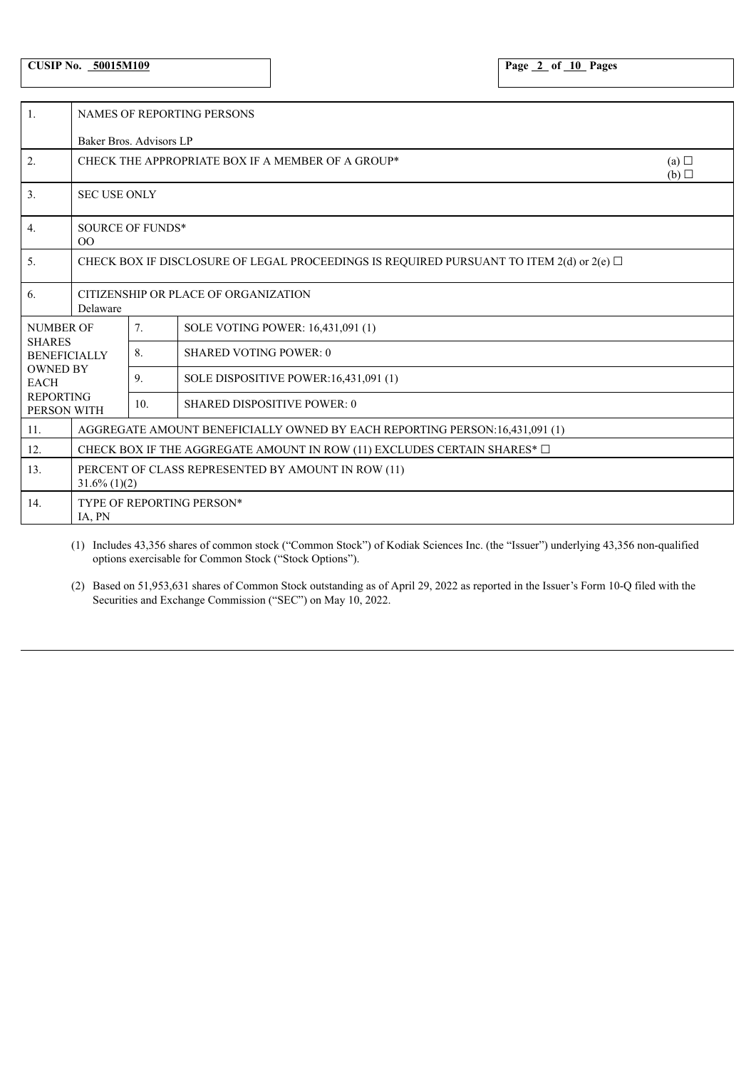# **CUSIP No. 50015M109 Page 2 of 10 Pages**

| $\overline{1}$ .                     | <b>NAMES OF REPORTING PERSONS</b>                                                             |                                                                 |                                       |  |  |  |
|--------------------------------------|-----------------------------------------------------------------------------------------------|-----------------------------------------------------------------|---------------------------------------|--|--|--|
|                                      | Baker Bros. Advisors LP                                                                       |                                                                 |                                       |  |  |  |
| $\overline{2}$ .                     |                                                                                               | CHECK THE APPROPRIATE BOX IF A MEMBER OF A GROUP*<br>(a)<br>(b) |                                       |  |  |  |
| 3.                                   | <b>SEC USE ONLY</b>                                                                           |                                                                 |                                       |  |  |  |
| 4.                                   | <b>SOURCE OF FUNDS*</b><br>O <sub>O</sub>                                                     |                                                                 |                                       |  |  |  |
| 5.                                   | CHECK BOX IF DISCLOSURE OF LEGAL PROCEEDINGS IS REQUIRED PURSUANT TO ITEM 2(d) or 2(e) $\Box$ |                                                                 |                                       |  |  |  |
| 6.                                   | CITIZENSHIP OR PLACE OF ORGANIZATION<br>Delaware                                              |                                                                 |                                       |  |  |  |
| <b>NUMBER OF</b>                     |                                                                                               | 7.                                                              | SOLE VOTING POWER: 16,431,091 (1)     |  |  |  |
| <b>SHARES</b><br><b>BENEFICIALLY</b> |                                                                                               | 8.                                                              | <b>SHARED VOTING POWER: 0</b>         |  |  |  |
| <b>OWNED BY</b><br><b>EACH</b>       |                                                                                               | 9.                                                              | SOLE DISPOSITIVE POWER:16,431,091 (1) |  |  |  |
| <b>REPORTING</b><br>PERSON WITH      |                                                                                               | 10.                                                             | <b>SHARED DISPOSITIVE POWER: 0</b>    |  |  |  |
| 11.                                  | AGGREGATE AMOUNT BENEFICIALLY OWNED BY EACH REPORTING PERSON:16,431,091 (1)                   |                                                                 |                                       |  |  |  |
| 12.                                  | CHECK BOX IF THE AGGREGATE AMOUNT IN ROW (11) EXCLUDES CERTAIN SHARES* $\Box$                 |                                                                 |                                       |  |  |  |
| 13.                                  | PERCENT OF CLASS REPRESENTED BY AMOUNT IN ROW (11)<br>$31.6\%$ (1)(2)                         |                                                                 |                                       |  |  |  |
| 14.                                  | TYPE OF REPORTING PERSON*<br>IA, PN                                                           |                                                                 |                                       |  |  |  |

(1) Includes 43,356 shares of common stock ("Common Stock") of Kodiak Sciences Inc. (the "Issuer") underlying 43,356 non-qualified options exercisable for Common Stock ("Stock Options").

(2) Based on 51,953,631 shares of Common Stock outstanding as of April 29, 2022 as reported in the Issuer's Form 10-Q filed with the Securities and Exchange Commission ("SEC") on May 10, 2022.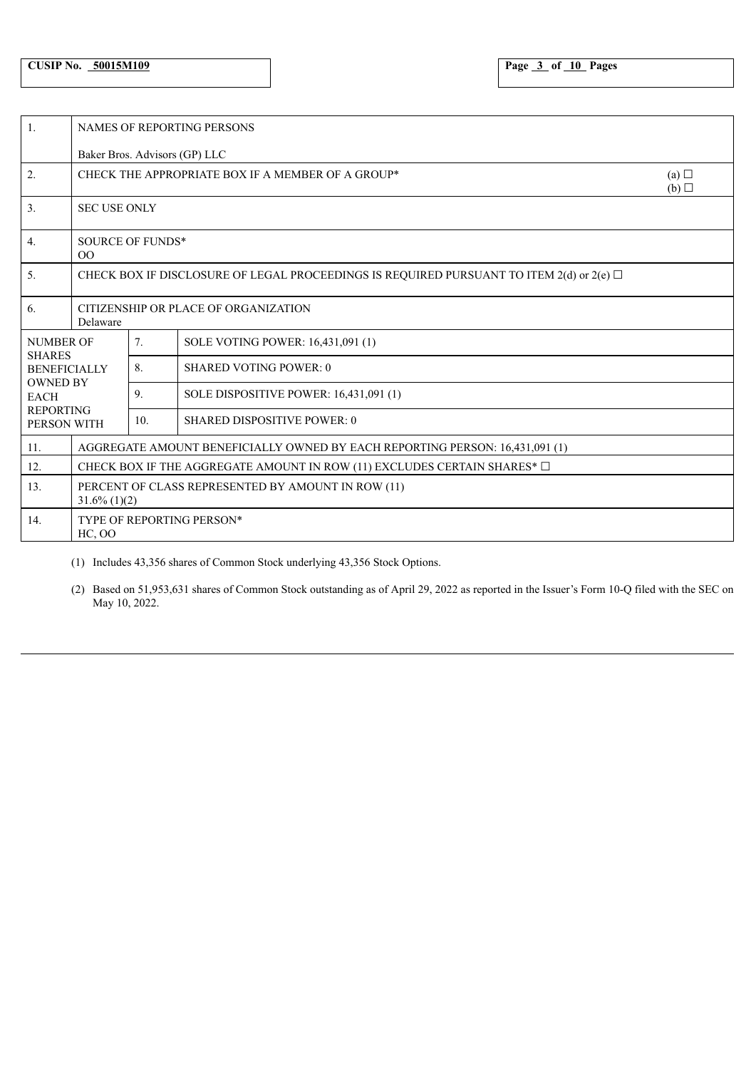| $\overline{1}$ .                  | <b>NAMES OF REPORTING PERSONS</b>                                                             |                                                                 |                                        |  |  |  |  |
|-----------------------------------|-----------------------------------------------------------------------------------------------|-----------------------------------------------------------------|----------------------------------------|--|--|--|--|
|                                   | Baker Bros. Advisors (GP) LLC                                                                 |                                                                 |                                        |  |  |  |  |
| 2.                                |                                                                                               | CHECK THE APPROPRIATE BOX IF A MEMBER OF A GROUP*<br>(a)<br>(b) |                                        |  |  |  |  |
| 3.                                | <b>SEC USE ONLY</b>                                                                           |                                                                 |                                        |  |  |  |  |
| $\overline{4}$ .                  | <b>SOURCE OF FUNDS*</b><br>O <sub>O</sub>                                                     |                                                                 |                                        |  |  |  |  |
| 5.                                | CHECK BOX IF DISCLOSURE OF LEGAL PROCEEDINGS IS REQUIRED PURSUANT TO ITEM 2(d) or 2(e) $\Box$ |                                                                 |                                        |  |  |  |  |
| 6.                                | CITIZENSHIP OR PLACE OF ORGANIZATION<br>Delaware                                              |                                                                 |                                        |  |  |  |  |
| <b>NUMBER OF</b><br><b>SHARES</b> |                                                                                               | 7 <sub>1</sub>                                                  | SOLE VOTING POWER: 16,431,091 (1)      |  |  |  |  |
| <b>BENEFICIALLY</b>               |                                                                                               | 8.                                                              | <b>SHARED VOTING POWER: 0</b>          |  |  |  |  |
| <b>OWNED BY</b><br><b>EACH</b>    |                                                                                               | 9.                                                              | SOLE DISPOSITIVE POWER: 16,431,091 (1) |  |  |  |  |
| <b>REPORTING</b><br>PERSON WITH   |                                                                                               | 10.                                                             | <b>SHARED DISPOSITIVE POWER: 0</b>     |  |  |  |  |
| 11.                               | AGGREGATE AMOUNT BENEFICIALLY OWNED BY EACH REPORTING PERSON: 16,431,091 (1)                  |                                                                 |                                        |  |  |  |  |
| 12.                               | CHECK BOX IF THE AGGREGATE AMOUNT IN ROW (11) EXCLUDES CERTAIN SHARES* $\square$              |                                                                 |                                        |  |  |  |  |
| 13.                               | PERCENT OF CLASS REPRESENTED BY AMOUNT IN ROW (11)<br>$31.6\%$ (1)(2)                         |                                                                 |                                        |  |  |  |  |
| 14.                               | TYPE OF REPORTING PERSON*<br>$HC$ , $OO$                                                      |                                                                 |                                        |  |  |  |  |

(1) Includes 43,356 shares of Common Stock underlying 43,356 Stock Options.

(2) Based on 51,953,631 shares of Common Stock outstanding as of April 29, 2022 as reported in the Issuer's Form 10-Q filed with the SEC on May 10, 2022.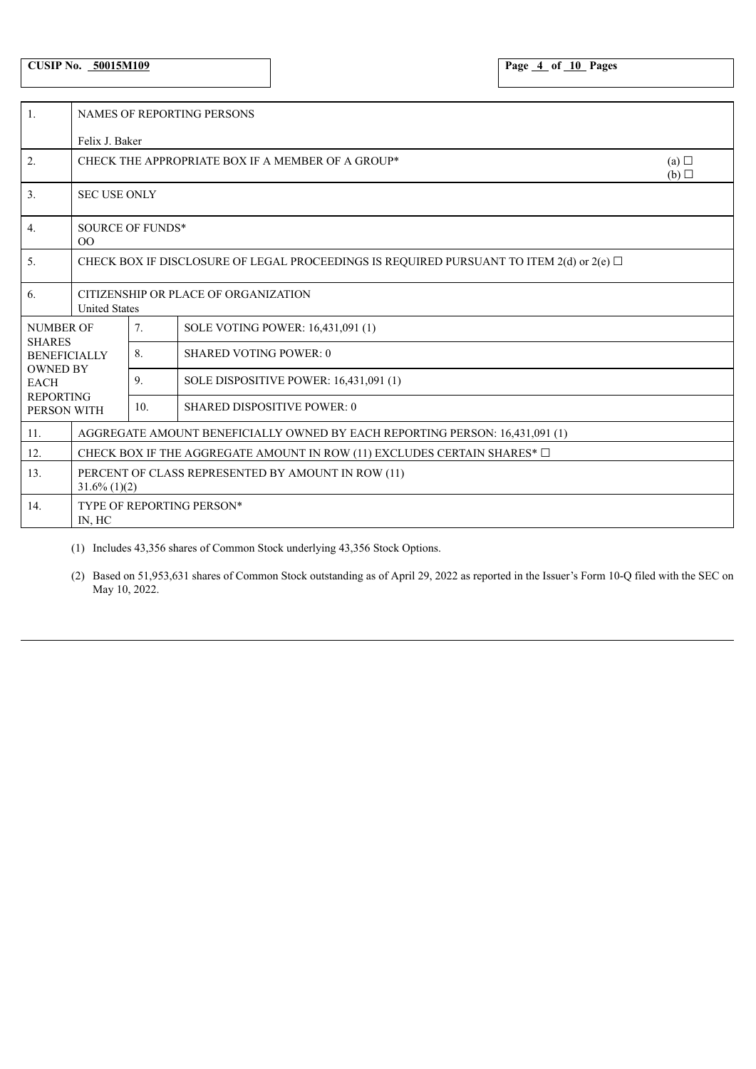# **CUSIP No. 50015M109 Page 4 of 10 Pages**

| 1.                                | <b>NAMES OF REPORTING PERSONS</b>                                                             |                 |                                        |  |  |  |  |
|-----------------------------------|-----------------------------------------------------------------------------------------------|-----------------|----------------------------------------|--|--|--|--|
|                                   |                                                                                               | Felix J. Baker  |                                        |  |  |  |  |
| 2.                                | CHECK THE APPROPRIATE BOX IF A MEMBER OF A GROUP*<br>(a)<br>(b)                               |                 |                                        |  |  |  |  |
| 3.                                | <b>SEC USE ONLY</b>                                                                           |                 |                                        |  |  |  |  |
| 4.                                | <b>SOURCE OF FUNDS*</b><br>$00\,$                                                             |                 |                                        |  |  |  |  |
| 5.                                | CHECK BOX IF DISCLOSURE OF LEGAL PROCEEDINGS IS REQUIRED PURSUANT TO ITEM 2(d) or 2(e) $\Box$ |                 |                                        |  |  |  |  |
| 6.                                | CITIZENSHIP OR PLACE OF ORGANIZATION<br><b>United States</b>                                  |                 |                                        |  |  |  |  |
| <b>NUMBER OF</b><br><b>SHARES</b> |                                                                                               | 7.              | SOLE VOTING POWER: 16,431,091 (1)      |  |  |  |  |
| <b>BENEFICIALLY</b>               |                                                                                               | 8.              | <b>SHARED VOTING POWER: 0</b>          |  |  |  |  |
| <b>OWNED BY</b><br><b>EACH</b>    |                                                                                               | 9.              | SOLE DISPOSITIVE POWER: 16,431,091 (1) |  |  |  |  |
| <b>REPORTING</b><br>PERSON WITH   |                                                                                               | 10 <sub>1</sub> | <b>SHARED DISPOSITIVE POWER: 0</b>     |  |  |  |  |
| 11.                               | AGGREGATE AMOUNT BENEFICIALLY OWNED BY EACH REPORTING PERSON: 16.431.091 (1)                  |                 |                                        |  |  |  |  |
| 12.                               | CHECK BOX IF THE AGGREGATE AMOUNT IN ROW (11) EXCLUDES CERTAIN SHARES* $\Box$                 |                 |                                        |  |  |  |  |
| 13.                               | PERCENT OF CLASS REPRESENTED BY AMOUNT IN ROW (11)<br>$31.6\%$ (1)(2)                         |                 |                                        |  |  |  |  |
| 14.                               | TYPE OF REPORTING PERSON*<br>IN, HC                                                           |                 |                                        |  |  |  |  |

(1) Includes 43,356 shares of Common Stock underlying 43,356 Stock Options.

(2) Based on 51,953,631 shares of Common Stock outstanding as of April 29, 2022 as reported in the Issuer's Form 10-Q filed with the SEC on May 10, 2022.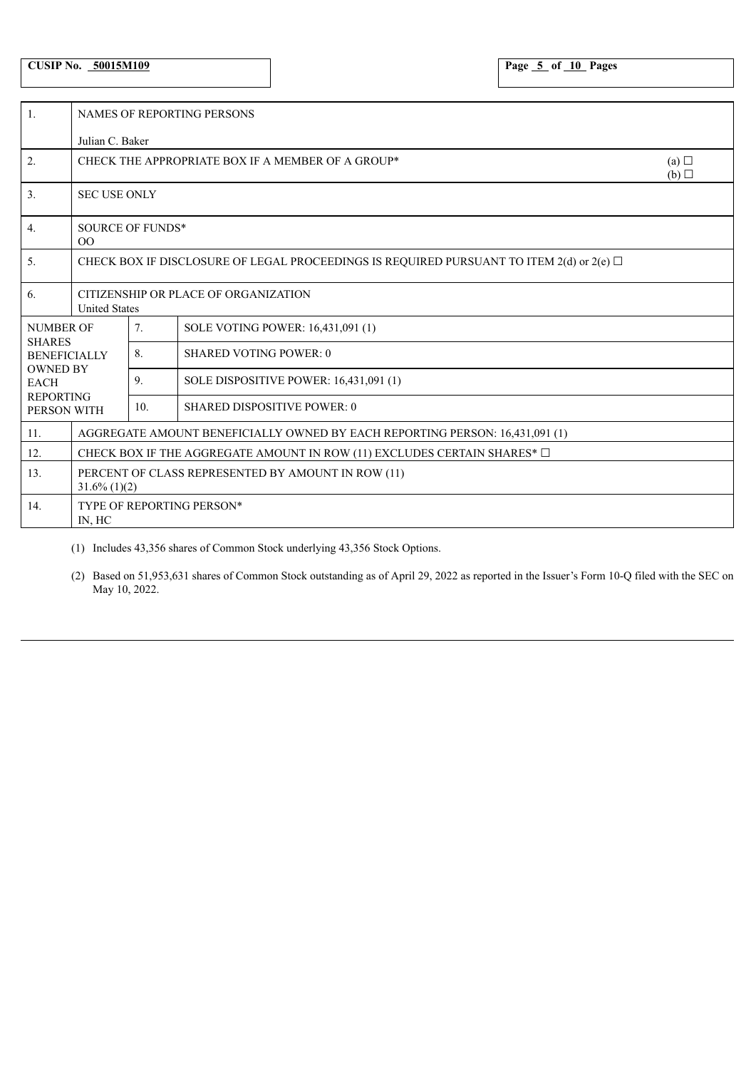# **CUSIP No. 50015M109 Page 5 of 10 Pages**

| 1.                                                    | <b>NAMES OF REPORTING PERSONS</b>                                                             |                 |                                        |  |  |  |
|-------------------------------------------------------|-----------------------------------------------------------------------------------------------|-----------------|----------------------------------------|--|--|--|
|                                                       | Julian C. Baker                                                                               |                 |                                        |  |  |  |
| 2.                                                    | CHECK THE APPROPRIATE BOX IF A MEMBER OF A GROUP*<br>(a)<br>(b)                               |                 |                                        |  |  |  |
| 3.                                                    | <b>SEC USE ONLY</b>                                                                           |                 |                                        |  |  |  |
| 4.                                                    | <b>SOURCE OF FUNDS*</b><br>$00\,$                                                             |                 |                                        |  |  |  |
| 5.                                                    | CHECK BOX IF DISCLOSURE OF LEGAL PROCEEDINGS IS REQUIRED PURSUANT TO ITEM 2(d) or 2(e) $\Box$ |                 |                                        |  |  |  |
| 6.                                                    | CITIZENSHIP OR PLACE OF ORGANIZATION<br><b>United States</b>                                  |                 |                                        |  |  |  |
| <b>NUMBER OF</b><br><b>SHARES</b>                     |                                                                                               | 7.              | SOLE VOTING POWER: 16,431,091 (1)      |  |  |  |
| <b>BENEFICIALLY</b><br><b>OWNED BY</b><br><b>EACH</b> |                                                                                               | 8.              | <b>SHARED VOTING POWER: 0</b>          |  |  |  |
|                                                       |                                                                                               | 9.              | SOLE DISPOSITIVE POWER: 16,431,091 (1) |  |  |  |
| <b>REPORTING</b><br>PERSON WITH                       |                                                                                               | 10 <sub>1</sub> | <b>SHARED DISPOSITIVE POWER: 0</b>     |  |  |  |
| 11.                                                   | AGGREGATE AMOUNT BENEFICIALLY OWNED BY EACH REPORTING PERSON: 16.431.091 (1)                  |                 |                                        |  |  |  |
| 12.                                                   | CHECK BOX IF THE AGGREGATE AMOUNT IN ROW (11) EXCLUDES CERTAIN SHARES* $\Box$                 |                 |                                        |  |  |  |
| 13.                                                   | PERCENT OF CLASS REPRESENTED BY AMOUNT IN ROW (11)<br>$31.6\%$ (1)(2)                         |                 |                                        |  |  |  |
| 14.                                                   | TYPE OF REPORTING PERSON*<br>IN, HC                                                           |                 |                                        |  |  |  |

(1) Includes 43,356 shares of Common Stock underlying 43,356 Stock Options.

(2) Based on 51,953,631 shares of Common Stock outstanding as of April 29, 2022 as reported in the Issuer's Form 10-Q filed with the SEC on May 10, 2022.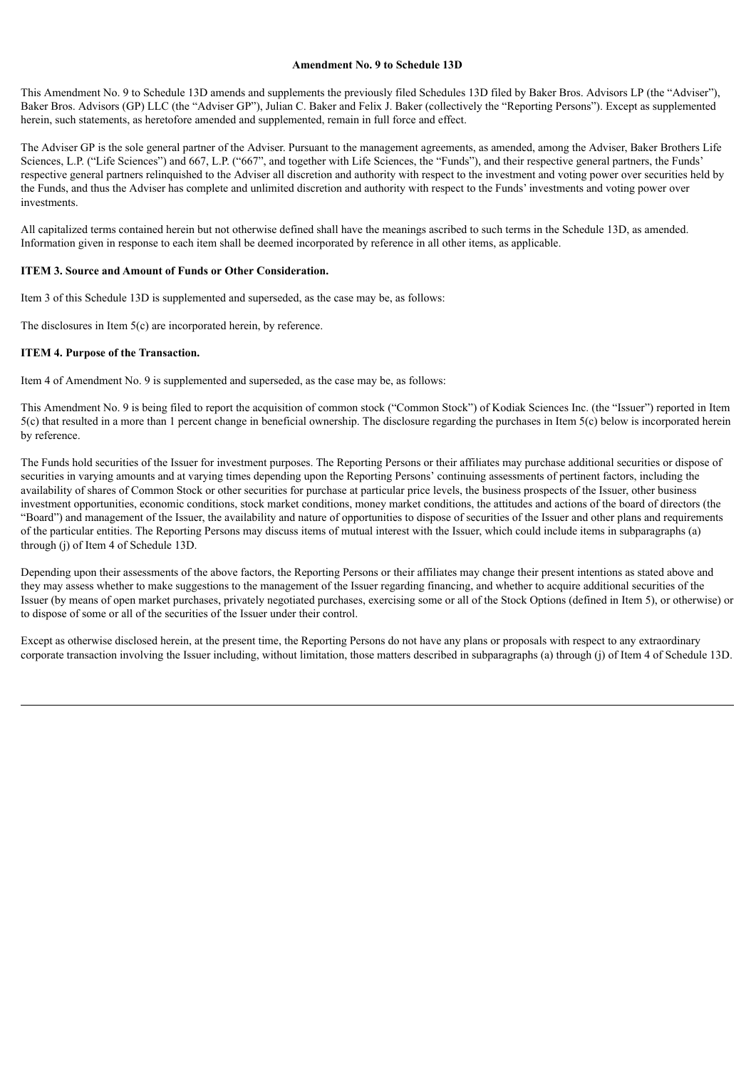### **Amendment No. 9 to Schedule 13D**

This Amendment No. 9 to Schedule 13D amends and supplements the previously filed Schedules 13D filed by Baker Bros. Advisors LP (the "Adviser"), Baker Bros. Advisors (GP) LLC (the "Adviser GP"), Julian C. Baker and Felix J. Baker (collectively the "Reporting Persons"). Except as supplemented herein, such statements, as heretofore amended and supplemented, remain in full force and effect.

The Adviser GP is the sole general partner of the Adviser. Pursuant to the management agreements, as amended, among the Adviser, Baker Brothers Life Sciences, L.P. ("Life Sciences") and 667, L.P. ("667", and together with Life Sciences, the "Funds"), and their respective general partners, the Funds' respective general partners relinquished to the Adviser all discretion and authority with respect to the investment and voting power over securities held by the Funds, and thus the Adviser has complete and unlimited discretion and authority with respect to the Funds' investments and voting power over investments.

All capitalized terms contained herein but not otherwise defined shall have the meanings ascribed to such terms in the Schedule 13D, as amended. Information given in response to each item shall be deemed incorporated by reference in all other items, as applicable.

#### **ITEM 3. Source and Amount of Funds or Other Consideration.**

Item 3 of this Schedule 13D is supplemented and superseded, as the case may be, as follows:

The disclosures in Item 5(c) are incorporated herein, by reference.

#### **ITEM 4. Purpose of the Transaction.**

Item 4 of Amendment No. 9 is supplemented and superseded, as the case may be, as follows:

This Amendment No. 9 is being filed to report the acquisition of common stock ("Common Stock") of Kodiak Sciences Inc. (the "Issuer") reported in Item 5(c) that resulted in a more than 1 percent change in beneficial ownership. The disclosure regarding the purchases in Item 5(c) below is incorporated herein by reference.

The Funds hold securities of the Issuer for investment purposes. The Reporting Persons or their affiliates may purchase additional securities or dispose of securities in varying amounts and at varying times depending upon the Reporting Persons' continuing assessments of pertinent factors, including the availability of shares of Common Stock or other securities for purchase at particular price levels, the business prospects of the Issuer, other business investment opportunities, economic conditions, stock market conditions, money market conditions, the attitudes and actions of the board of directors (the "Board") and management of the Issuer, the availability and nature of opportunities to dispose of securities of the Issuer and other plans and requirements of the particular entities. The Reporting Persons may discuss items of mutual interest with the Issuer, which could include items in subparagraphs (a) through (j) of Item 4 of Schedule 13D.

Depending upon their assessments of the above factors, the Reporting Persons or their affiliates may change their present intentions as stated above and they may assess whether to make suggestions to the management of the Issuer regarding financing, and whether to acquire additional securities of the Issuer (by means of open market purchases, privately negotiated purchases, exercising some or all of the Stock Options (defined in Item 5), or otherwise) or to dispose of some or all of the securities of the Issuer under their control.

Except as otherwise disclosed herein, at the present time, the Reporting Persons do not have any plans or proposals with respect to any extraordinary corporate transaction involving the Issuer including, without limitation, those matters described in subparagraphs (a) through (j) of Item 4 of Schedule 13D.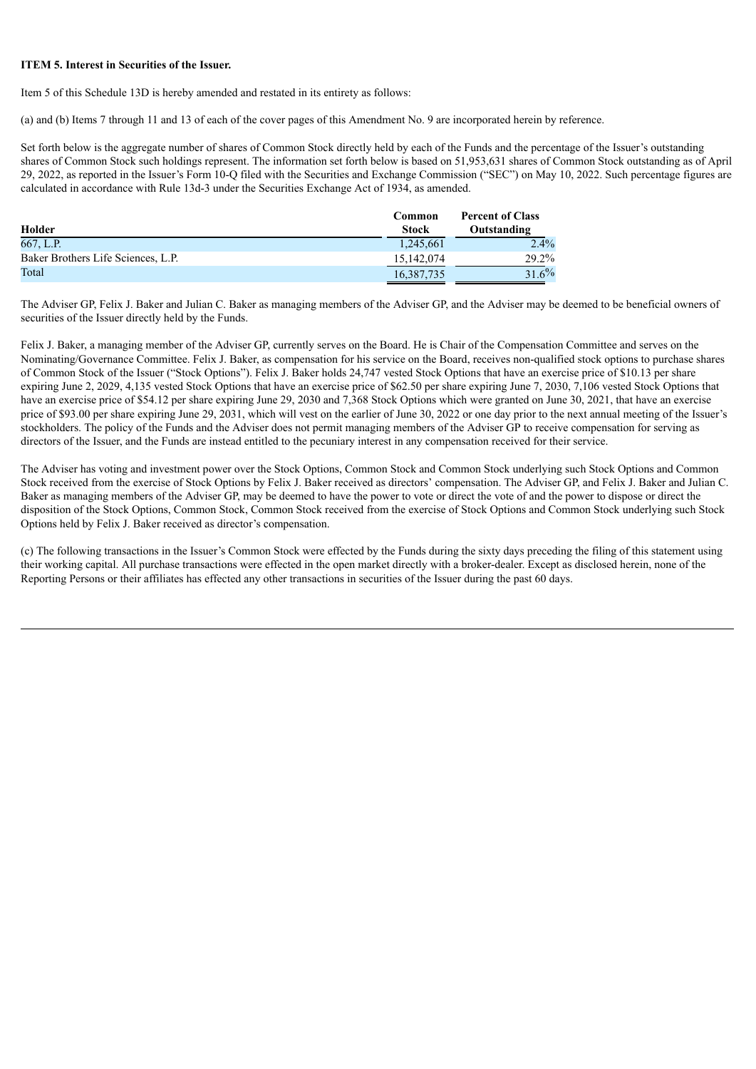#### **ITEM 5. Interest in Securities of the Issuer.**

Item 5 of this Schedule 13D is hereby amended and restated in its entirety as follows:

(a) and (b) Items 7 through 11 and 13 of each of the cover pages of this Amendment No. 9 are incorporated herein by reference.

Set forth below is the aggregate number of shares of Common Stock directly held by each of the Funds and the percentage of the Issuer's outstanding shares of Common Stock such holdings represent. The information set forth below is based on 51,953,631 shares of Common Stock outstanding as of April 29, 2022, as reported in the Issuer's Form 10-Q filed with the Securities and Exchange Commission ("SEC") on May 10, 2022. Such percentage figures are calculated in accordance with Rule 13d-3 under the Securities Exchange Act of 1934, as amended.

| Holder                             | Common<br><b>Stock</b> | <b>Percent of Class</b><br>Outstanding |
|------------------------------------|------------------------|----------------------------------------|
| 667, L.P.                          | 1,245,661              | $2.4\%$                                |
| Baker Brothers Life Sciences, L.P. | 15,142,074             | 29.2%                                  |
| Total                              | 16,387,735             | 31.6%                                  |

The Adviser GP, Felix J. Baker and Julian C. Baker as managing members of the Adviser GP, and the Adviser may be deemed to be beneficial owners of securities of the Issuer directly held by the Funds.

Felix J. Baker, a managing member of the Adviser GP, currently serves on the Board. He is Chair of the Compensation Committee and serves on the Nominating/Governance Committee. Felix J. Baker, as compensation for his service on the Board, receives non-qualified stock options to purchase shares of Common Stock of the Issuer ("Stock Options"). Felix J. Baker holds 24,747 vested Stock Options that have an exercise price of \$10.13 per share expiring June 2, 2029, 4,135 vested Stock Options that have an exercise price of \$62.50 per share expiring June 7, 2030, 7,106 vested Stock Options that have an exercise price of \$54.12 per share expiring June 29, 2030 and 7,368 Stock Options which were granted on June 30, 2021, that have an exercise price of \$93.00 per share expiring June 29, 2031, which will vest on the earlier of June 30, 2022 or one day prior to the next annual meeting of the Issuer's stockholders. The policy of the Funds and the Adviser does not permit managing members of the Adviser GP to receive compensation for serving as directors of the Issuer, and the Funds are instead entitled to the pecuniary interest in any compensation received for their service.

The Adviser has voting and investment power over the Stock Options, Common Stock and Common Stock underlying such Stock Options and Common Stock received from the exercise of Stock Options by Felix J. Baker received as directors' compensation. The Adviser GP, and Felix J. Baker and Julian C. Baker as managing members of the Adviser GP, may be deemed to have the power to vote or direct the vote of and the power to dispose or direct the disposition of the Stock Options, Common Stock, Common Stock received from the exercise of Stock Options and Common Stock underlying such Stock Options held by Felix J. Baker received as director's compensation.

(c) The following transactions in the Issuer's Common Stock were effected by the Funds during the sixty days preceding the filing of this statement using their working capital. All purchase transactions were effected in the open market directly with a broker-dealer. Except as disclosed herein, none of the Reporting Persons or their affiliates has effected any other transactions in securities of the Issuer during the past 60 days.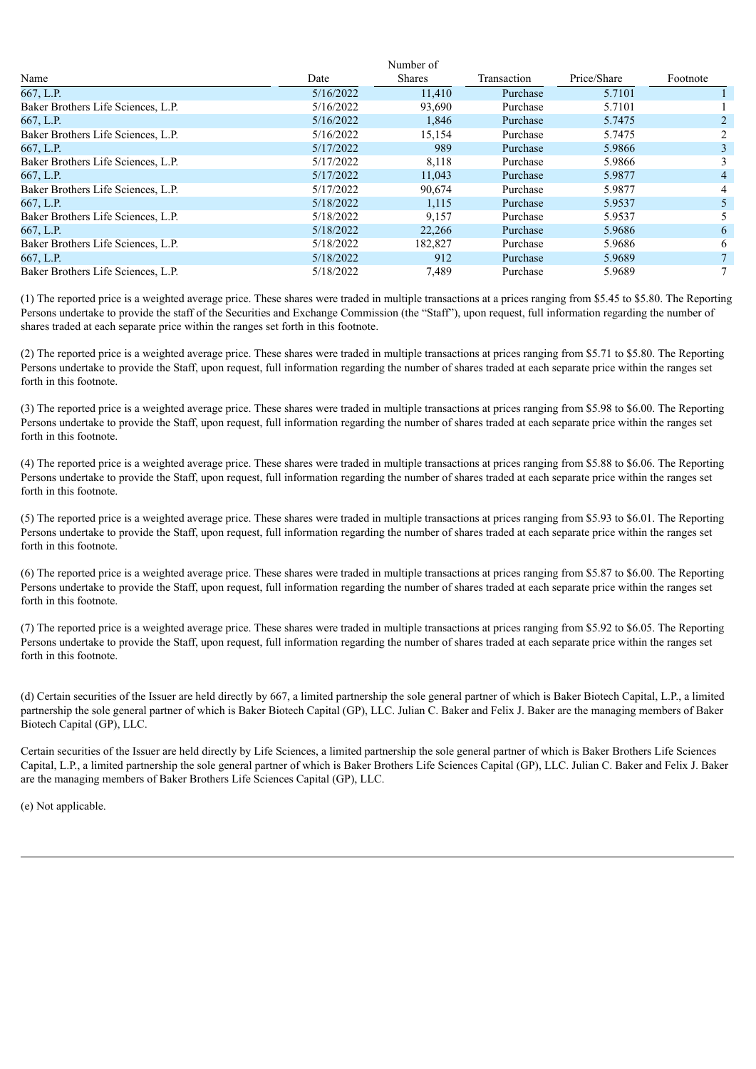|                                    |           | Number of     |             |             |                |
|------------------------------------|-----------|---------------|-------------|-------------|----------------|
| Name                               | Date      | <b>Shares</b> | Transaction | Price/Share | Footnote       |
| 667, L.P.                          | 5/16/2022 | 11,410        | Purchase    | 5.7101      |                |
| Baker Brothers Life Sciences, L.P. | 5/16/2022 | 93,690        | Purchase    | 5.7101      |                |
| 667, L.P.                          | 5/16/2022 | 1,846         | Purchase    | 5.7475      | 2              |
| Baker Brothers Life Sciences, L.P. | 5/16/2022 | 15,154        | Purchase    | 5.7475      | $\overline{2}$ |
| 667, L.P.                          | 5/17/2022 | 989           | Purchase    | 5.9866      | 3              |
| Baker Brothers Life Sciences, L.P. | 5/17/2022 | 8,118         | Purchase    | 5.9866      | 3              |
| 667, L.P.                          | 5/17/2022 | 11,043        | Purchase    | 5.9877      | 4              |
| Baker Brothers Life Sciences, L.P. | 5/17/2022 | 90.674        | Purchase    | 5.9877      | 4              |
| 667, L.P.                          | 5/18/2022 | 1,115         | Purchase    | 5.9537      |                |
| Baker Brothers Life Sciences, L.P. | 5/18/2022 | 9,157         | Purchase    | 5.9537      | 5              |
| 667, L.P.                          | 5/18/2022 | 22.266        | Purchase    | 5.9686      | 6              |
| Baker Brothers Life Sciences, L.P. | 5/18/2022 | 182.827       | Purchase    | 5.9686      | 6              |
| 667, L.P.                          | 5/18/2022 | 912           | Purchase    | 5.9689      |                |
| Baker Brothers Life Sciences, L.P. | 5/18/2022 | 7,489         | Purchase    | 5.9689      | 7              |

(1) The reported price is a weighted average price. These shares were traded in multiple transactions at a prices ranging from \$5.45 to \$5.80. The Reporting Persons undertake to provide the staff of the Securities and Exchange Commission (the "Staff"), upon request, full information regarding the number of shares traded at each separate price within the ranges set forth in this footnote.

(2) The reported price is a weighted average price. These shares were traded in multiple transactions at prices ranging from \$5.71 to \$5.80. The Reporting Persons undertake to provide the Staff, upon request, full information regarding the number of shares traded at each separate price within the ranges set forth in this footnote.

(3) The reported price is a weighted average price. These shares were traded in multiple transactions at prices ranging from \$5.98 to \$6.00. The Reporting Persons undertake to provide the Staff, upon request, full information regarding the number of shares traded at each separate price within the ranges set forth in this footnote.

(4) The reported price is a weighted average price. These shares were traded in multiple transactions at prices ranging from \$5.88 to \$6.06. The Reporting Persons undertake to provide the Staff, upon request, full information regarding the number of shares traded at each separate price within the ranges set forth in this footnote.

(5) The reported price is a weighted average price. These shares were traded in multiple transactions at prices ranging from \$5.93 to \$6.01. The Reporting Persons undertake to provide the Staff, upon request, full information regarding the number of shares traded at each separate price within the ranges set forth in this footnote.

(6) The reported price is a weighted average price. These shares were traded in multiple transactions at prices ranging from \$5.87 to \$6.00. The Reporting Persons undertake to provide the Staff, upon request, full information regarding the number of shares traded at each separate price within the ranges set forth in this footnote.

(7) The reported price is a weighted average price. These shares were traded in multiple transactions at prices ranging from \$5.92 to \$6.05. The Reporting Persons undertake to provide the Staff, upon request, full information regarding the number of shares traded at each separate price within the ranges set forth in this footnote.

(d) Certain securities of the Issuer are held directly by 667, a limited partnership the sole general partner of which is Baker Biotech Capital, L.P., a limited partnership the sole general partner of which is Baker Biotech Capital (GP), LLC. Julian C. Baker and Felix J. Baker are the managing members of Baker Biotech Capital (GP), LLC.

Certain securities of the Issuer are held directly by Life Sciences, a limited partnership the sole general partner of which is Baker Brothers Life Sciences Capital, L.P., a limited partnership the sole general partner of which is Baker Brothers Life Sciences Capital (GP), LLC. Julian C. Baker and Felix J. Baker are the managing members of Baker Brothers Life Sciences Capital (GP), LLC.

(e) Not applicable.